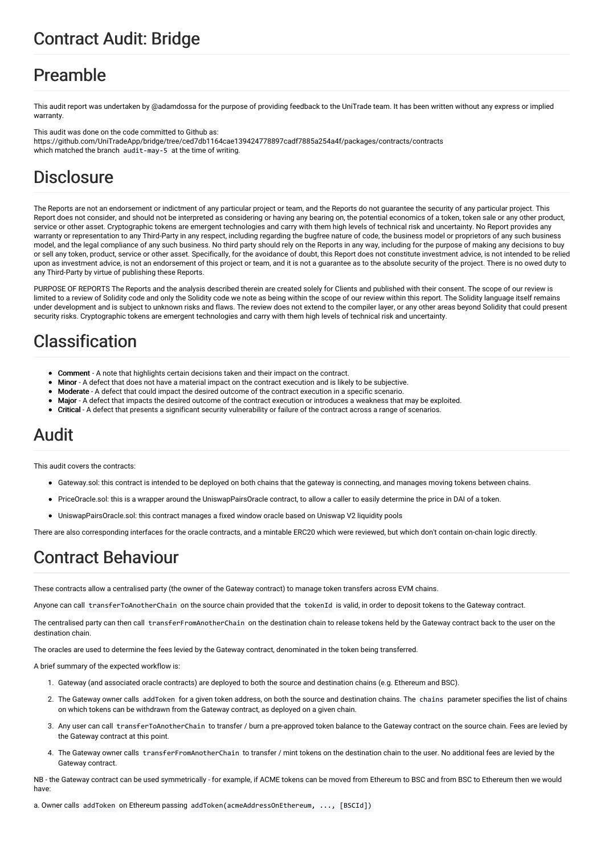# Contract Audit: Bridge

# Preamble

This audit report was undertaken by @adamdossa for the purpose of providing feedback to the UniTrade team. It has been written without any express or implied warranty

This audit was done on the code committed to Github as: https://github.com/UniTradeApp/bridge/tree/ced7db1164cae139424778897cadf7885a254a4f/packages/contracts/contracts which matched the branch audit-may-5 at the time of writing.

# **Disclosure**

The Reports are not an endorsement or indictment of any particular project or team, and the Reports do not guarantee the security of any particular project. This Report does not consider, and should not be interpreted as considering or having any bearing on, the potential economics of a token, token sale or any other product, service or other asset. Cryptographic tokens are emergent technologies and carry with them high levels of technical risk and uncertainty. No Report provides any warranty or representation to any Third-Party in any respect, including regarding the bugfree nature of code, the business model or proprietors of any such business model, and the legal compliance of any such business. No third party should rely on the Reports in any way, including for the purpose of making any decisions to buy or sell any token, product, service or other asset. Specifically, for the avoidance of doubt, this Report does not constitute investment advice, is not intended to be relied upon as investment advice, is not an endorsement of this project or team, and it is not a guarantee as to the absolute security of the project. There is no owed duty to any Third-Party by virtue of publishing these Reports.

PURPOSE OF REPORTS The Reports and the analysis described therein are created solely for Clients and published with their consent. The scope of our review is limited to a review of Solidity code and only the Solidity code we note as being within the scope of our review within this report. The Solidity language itself remains under development and is subject to unknown risks and flaws. The review does not extend to the compiler layer, or any other areas beyond Solidity that could present security risks. Cryptographic tokens are emergent technologies and carry with them high levels of technical risk and uncertainty.

# Classification

- Comment A note that highlights certain decisions taken and their impact on the contract.
- Minor A defect that does not have a material impact on the contract execution and is likely to be subjective.
- Moderate A defect that could impact the desired outcome of the contract execution in a specific scenario.
- Major A defect that impacts the desired outcome of the contract execution or introduces a weakness that may be exploited.
- Critical A defect that presents a significant security vulnerability or failure of the contract across a range of scenarios.

# Audit

This audit covers the contracts:

- Gateway.sol: this contract is intended to be deployed on both chains that the gateway is connecting, and manages moving tokens between chains.
- PriceOracle.sol: this is a wrapper around the UniswapPairsOracle contract, to allow a caller to easily determine the price in DAI of a token.
- UniswapPairsOracle.sol: this contract manages a fixed window oracle based on Uniswap V2 liquidity pools

There are also corresponding interfaces for the oracle contracts, and a mintable ERC20 which were reviewed, but which don't contain on-chain logic directly.

# Contract Behaviour

These contracts allow a centralised party (the owner of the Gateway contract) to manage token transfers across EVM chains.

Anyone can call transferToAnotherChain on the source chain provided that the tokenId is valid, in order to deposit tokens to the Gateway contract.

The centralised party can then call transferFromAnotherChain on the destination chain to release tokens held by the Gateway contract back to the user on the destination chain.

The oracles are used to determine the fees levied by the Gateway contract, denominated in the token being transferred.

A brief summary of the expected workflow is:

- 1. Gateway (and associated oracle contracts) are deployed to both the source and destination chains (e.g. Ethereum and BSC).
- 2. The Gateway owner calls addToken for a given token address, on both the source and destination chains. The chains parameter specifies the list of chains on which tokens can be withdrawn from the Gateway contract, as deployed on a given chain.
- 3. Any user can call transferToAnotherChain to transfer / burn a pre-approved token balance to the Gateway contract on the source chain. Fees are levied by the Gateway contract at this point.
- 4. The Gateway owner calls transferFromAnotherChain to transfer / mint tokens on the destination chain to the user. No additional fees are levied by the Gateway contract.

NB - the Gateway contract can be used symmetrically - for example, if ACME tokens can be moved from Ethereum to BSC and from BSC to Ethereum then we would have:

a. Owner calls addToken on Ethereum passing addToken(acmeAddressOnEthereum, ..., [BSCId])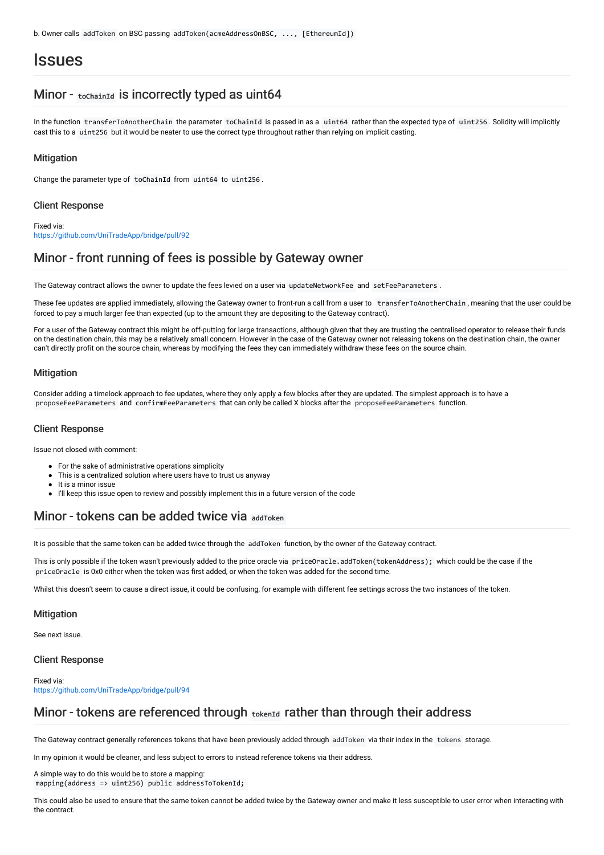# **Issues**

## Minor - toChainId is incorrectly typed as uint64

In the function transferToAnotherChain the parameter toChainId is passed in as a uint64 rather than the expected type of uint256 . Solidity will implicitly cast this to a uint256 but it would be neater to use the correct type throughout rather than relying on implicit casting.

#### **Mitigation**

Change the parameter type of toChainId from uint64 to uint256 .

#### Client Response

Fixed via: <https://github.com/UniTradeApp/bridge/pull/92>

## Minor - front running of fees is possible by Gateway owner

The Gateway contract allows the owner to update the fees levied on a user via updateNetworkFee and setFeeParameters.

These fee updates are applied immediately, allowing the Gateway owner to front-run a call from a user to transferToAnotherChain , meaning that the user could be forced to pay a much larger fee than expected (up to the amount they are depositing to the Gateway contract).

For a user of the Gateway contract this might be off-putting for large transactions, although given that they are trusting the centralised operator to release their funds on the destination chain, this may be a relatively small concern. However in the case of the Gateway owner not releasing tokens on the destination chain, the owner can't directly profit on the source chain, whereas by modifying the fees they can immediately withdraw these fees on the source chain.

#### **Mitigation**

Consider adding a timelock approach to fee updates, where they only apply a few blocks after they are updated. The simplest approach is to have a proposeFeeParameters and confirmFeeParameters that can only be called X blocks after the proposeFeeParameters function.

#### Client Response

Issue not closed with comment:

- For the sake of administrative operations simplicity
- This is a centralized solution where users have to trust us anyway
- It is a minor issue
- I'll keep this issue open to review and possibly implement this in a future version of the code

## Minor - tokens can be added twice via addToken

It is possible that the same token can be added twice through the addToken function, by the owner of the Gateway contract.

This is only possible if the token wasn't previously added to the price oracle via priceOracle.addToken(tokenAddress); which could be the case if the priceOracle is 0x0 either when the token was first added, or when the token was added for the second time.

Whilst this doesn't seem to cause a direct issue, it could be confusing, for example with different fee settings across the two instances of the token.

#### **Mitigation**

See next issue.

#### Client Response

Fixed via: <https://github.com/UniTradeApp/bridge/pull/94>

## Minor - tokens are referenced through tokenId rather than through their address

The Gateway contract generally references tokens that have been previously added through addToken via their index in the tokens storage.

In my opinion it would be cleaner, and less subject to errors to instead reference tokens via their address.

A simple way to do this would be to store a mapping: mapping(address => uint256) public addressToTokenId;

This could also be used to ensure that the same token cannot be added twice by the Gateway owner and make it less susceptible to user error when interacting with the contract.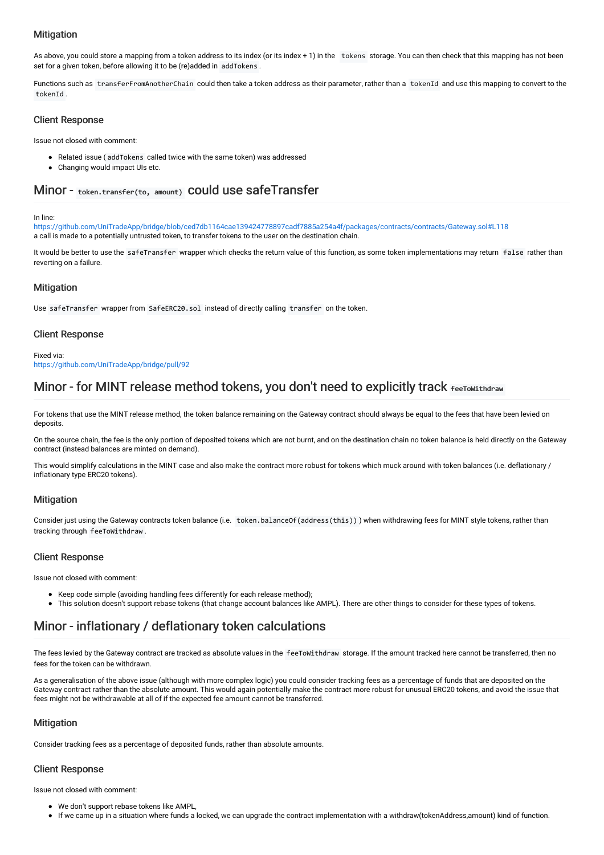## **Mitigation**

As above, you could store a mapping from a token address to its index (or its index + 1) in the tokens storage. You can then check that this mapping has not been set for a given token, before allowing it to be (re)added in addTokens .

Functions such as transferFromAnotherChain could then take a token address as their parameter, rather than a tokenId and use this mapping to convert to the tokenId .

## Client Response

Issue not closed with comment:

- Related issue ( addTokens called twice with the same token) was addressed
- Changing would impact UIs etc.

# Minor - token.transfer(to, amount) could use safeTransfer

#### In line:

<https://github.com/UniTradeApp/bridge/blob/ced7db1164cae139424778897cadf7885a254a4f/packages/contracts/contracts/Gateway.sol#L118> a call is made to a potentially untrusted token, to transfer tokens to the user on the destination chain.

It would be better to use the safeTransfer wrapper which checks the return value of this function, as some token implementations may return false rather than reverting on a failure.

## **Mitigation**

Use safeTransfer wrapper from SafeERC20.sol instead of directly calling transfer on the token.

## Client Response

Fixed via:

<https://github.com/UniTradeApp/bridge/pull/92>

## Minor - for MINT release method tokens, you don't need to explicitly track **FeeToWithdraw**

For tokens that use the MINT release method, the token balance remaining on the Gateway contract should always be equal to the fees that have been levied on deposits.

On the source chain, the fee is the only portion of deposited tokens which are not burnt, and on the destination chain no token balance is held directly on the Gateway contract (instead balances are minted on demand).

This would simplify calculations in the MINT case and also make the contract more robust for tokens which muck around with token balances (i.e. deflationary / inflationary type ERC20 tokens).

## **Mitigation**

Consider just using the Gateway contracts token balance (i.e. token.balanceOf(address(this)) ) when withdrawing fees for MINT style tokens, rather than tracking through feeToWithdraw .

## Client Response

Issue not closed with comment:

- Keep code simple (avoiding handling fees differently for each release method);
- This solution doesn't support rebase tokens (that change account balances like AMPL). There are other things to consider for these types of tokens.

# Minor - inflationary / deflationary token calculations

The fees levied by the Gateway contract are tracked as absolute values in the feeToWithdraw storage. If the amount tracked here cannot be transferred, then no fees for the token can be withdrawn.

As a generalisation of the above issue (although with more complex logic) you could consider tracking fees as a percentage of funds that are deposited on the Gateway contract rather than the absolute amount. This would again potentially make the contract more robust for unusual ERC20 tokens, and avoid the issue that fees might not be withdrawable at all of if the expected fee amount cannot be transferred.

## **Mitigation**

Consider tracking fees as a percentage of deposited funds, rather than absolute amounts.

## Client Response

Issue not closed with comment:

- We don't support rebase tokens like AMPL,
- If we came up in a situation where funds a locked, we can upgrade the contract implementation with a withdraw(tokenAddress,amount) kind of function.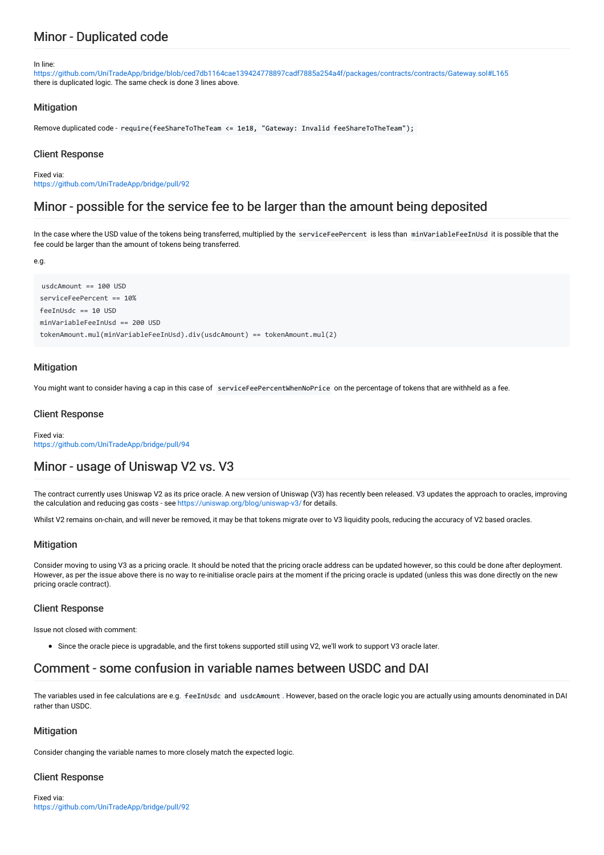# Minor - Duplicated code

#### In line:

<https://github.com/UniTradeApp/bridge/blob/ced7db1164cae139424778897cadf7885a254a4f/packages/contracts/contracts/Gateway.sol#L165> there is duplicated logic. The same check is done 3 lines above.

#### **Mitigation**

Remove duplicated code - require(feeShareToTheTeam <= 1e18, "Gateway: Invalid feeShareToTheTeam");

#### Client Response

Fixed via: <https://github.com/UniTradeApp/bridge/pull/92>

## Minor - possible for the service fee to be larger than the amount being deposited

In the case where the USD value of the tokens being transferred, multiplied by the serviceFeePercent is less than minVariableFeeInUsd it is possible that the fee could be larger than the amount of tokens being transferred.

e.g.

```
usdcAmount == 100 USD
serviceFeePercent == 10%
feeInUsdc == 10 USD
minVariableFeeInUsd == 200 USD
tokenAmount.mul(minVariableFeeInUsd).div(usdcAmount) == tokenAmount.mul(2)
```
#### **Mitigation**

You might want to consider having a cap in this case of serviceFeePercentWhenNoPrice on the percentage of tokens that are withheld as a fee.

#### Client Response

Fixed via: <https://github.com/UniTradeApp/bridge/pull/94>

## Minor - usage of Uniswap V2 vs. V3

The contract currently uses Uniswap V2 as its price oracle. A new version of Uniswap (V3) has recently been released. V3 updates the approach to oracles, improving the calculation and reducing gas costs - see <https://uniswap.org/blog/uniswap-v3/> for details.

Whilst V2 remains on-chain, and will never be removed, it may be that tokens migrate over to V3 liquidity pools, reducing the accuracy of V2 based oracles.

## **Mitigation**

Consider moving to using V3 as a pricing oracle. It should be noted that the pricing oracle address can be updated however, so this could be done after deployment. However, as per the issue above there is no way to re-initialise oracle pairs at the moment if the pricing oracle is updated (unless this was done directly on the new pricing oracle contract).

#### Client Response

Issue not closed with comment:

Since the oracle piece is upgradable, and the first tokens supported still using V2, we'll work to support V3 oracle later.

## Comment - some confusion in variable names between USDC and DAI

The variables used in fee calculations are e.g. feeInUsdc and usdcAmount . However, based on the oracle logic you are actually using amounts denominated in DAI rather than USDC.

#### **Mitigation**

Consider changing the variable names to more closely match the expected logic.

#### Client Response

Fixed via: <https://github.com/UniTradeApp/bridge/pull/92>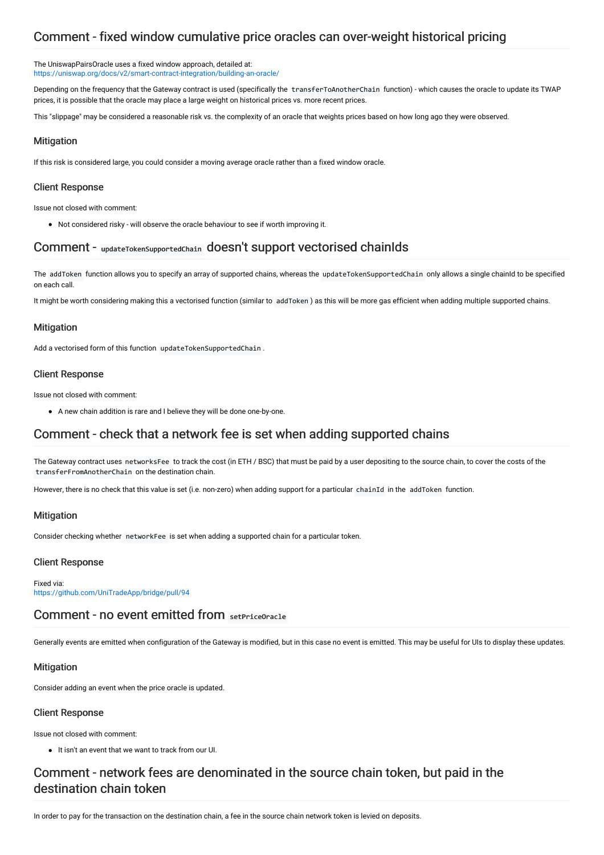# Comment - fixed window cumulative price oracles can over-weight historical pricing

The UniswapPairsOracle uses a fixed window approach, detailed at: <https://uniswap.org/docs/v2/smart-contract-integration/building-an-oracle/>

Depending on the frequency that the Gateway contract is used (specifically the transferToAnotherChain function) - which causes the oracle to update its TWAP prices, it is possible that the oracle may place a large weight on historical prices vs. more recent prices.

This "slippage" may be considered a reasonable risk vs. the complexity of an oracle that weights prices based on how long ago they were observed.

#### **Mitigation**

If this risk is considered large, you could consider a moving average oracle rather than a fixed window oracle.

#### Client Response

Issue not closed with comment:

Not considered risky - will observe the oracle behaviour to see if worth improving it.

## Comment - updateTokenSupportedChain doesn't support vectorised chainIds

The addToken function allows you to specify an array of supported chains, whereas the updateTokenSupportedChain only allows a single chainId to be specified on each call.

It might be worth considering making this a vectorised function (similar to addToken ) as this will be more gas efficient when adding multiple supported chains.

#### **Mitigation**

Add a vectorised form of this function updateTokenSupportedChain .

#### Client Response

Issue not closed with comment:

A new chain addition is rare and I believe they will be done one-by-one.

## Comment - check that a network fee is set when adding supported chains

The Gateway contract uses networksFee to track the cost (in ETH / BSC) that must be paid by a user depositing to the source chain, to cover the costs of the transferFromAnotherChain on the destination chain.

However, there is no check that this value is set (i.e. non-zero) when adding support for a particular chainId in the addToken function.

#### **Mitigation**

Consider checking whether networkFee is set when adding a supported chain for a particular token.

#### Client Response

Fixed via: <https://github.com/UniTradeApp/bridge/pull/94>

## Comment - no event emitted from setPriceOracle

Generally events are emitted when configuration of the Gateway is modified, but in this case no event is emitted. This may be useful for UIs to display these updates.

## **Mitigation**

Consider adding an event when the price oracle is updated.

#### Client Response

Issue not closed with comment:

It isn't an event that we want to track from our UI.

# Comment - network fees are denominated in the source chain token, but paid in the destination chain token

In order to pay for the transaction on the destination chain, a fee in the source chain network token is levied on deposits.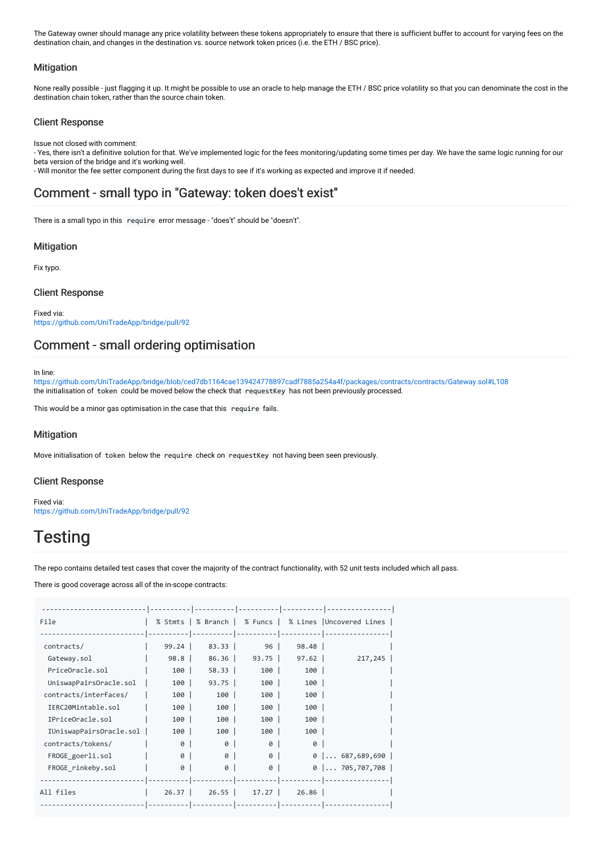The Gateway owner should manage any price volatility between these tokens appropriately to ensure that there is sufficient buffer to account for varying fees on the destination chain, and changes in the destination vs. source network token prices (i.e. the ETH / BSC price).

#### **Mitigation**

None really possible - just flagging it up. It might be possible to use an oracle to help manage the ETH / BSC price volatility so that you can denominate the cost in the destination chain token, rather than the source chain token.

#### Client Response

Issue not closed with comment:

- Yes, there isn't a definitive solution for that. We've implemented logic for the fees monitoring/updating some times per day. We have the same logic running for our beta version of the bridge and it's working well.

- Will monitor the fee setter component during the first days to see if it's working as expected and improve it if needed.

## Comment - small typo in "Gateway: token does't exist"

There is a small typo in this require error message - "does't" should be "doesn't".

#### **Mitigation**

Fix typo.

#### Client Response

Fixed via: <https://github.com/UniTradeApp/bridge/pull/92>

## Comment - small ordering optimisation

In line:

<https://github.com/UniTradeApp/bridge/blob/ced7db1164cae139424778897cadf7885a254a4f/packages/contracts/contracts/Gateway.sol#L108> the initialisation of token could be moved below the check that requestKey has not been previously processed.

This would be a minor gas optimisation in the case that this require fails.

## **Mitigation**

Move initialisation of token below the require check on requestKey not having been seen previously.

#### Client Response

Fixed via: <https://github.com/UniTradeApp/bridge/pull/92>

# **Testing**

The repo contains detailed test cases that cover the majority of the contract functionality, with 52 unit tests included which all pass.

There is good coverage across all of the in-scope contracts:

| File                    |         |         |          |            | % Stmts   % Branch   % Funcs   % Lines   Uncovered Lines |
|-------------------------|---------|---------|----------|------------|----------------------------------------------------------|
|                         |         |         |          | -- ------- |                                                          |
| contracts/              | 99.24   | $83.33$ | $96-1$   | 98.48      |                                                          |
| Gateway.sol             | 98.8    | 86.36   | $93.75$  | 97.62      | 217,245                                                  |
| PriceOracle.sol         | 100     | 58.33   | 100      | 100        |                                                          |
| UniswapPairsOracle.sol  | 100     | 93.75   | 100      | 100        |                                                          |
| contracts/interfaces/   | 100     | 100     | 100      | 100        |                                                          |
| IERC20Mintable.sol      | 100     | $100$   | 100      | 100        |                                                          |
| IPriceOracle.sol        | 100     | 100     | 100      | 100        |                                                          |
| IUniswapPairsOracle.sol | 100     | 100     | 100      | 100        |                                                          |
| contracts/tokens/       | ø       | 0       | 0        | 0          |                                                          |
| FROGE goerli.sol        | 0       | 0       | $\theta$ |            | $0$ 687,689,690                                          |
| FROGE rinkeby.sol       | 0       | 0       | 0        |            | $0$ 705,707,708                                          |
|                         |         |         |          |            |                                                          |
| All files               | $26.37$ | 26.55   | 17.27    | 26.86      |                                                          |
|                         |         |         |          |            |                                                          |